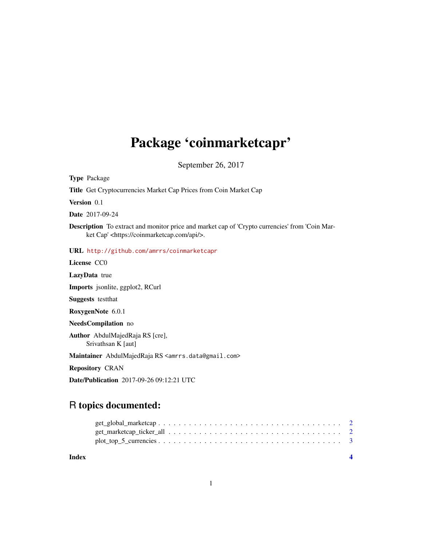## Package 'coinmarketcapr'

September 26, 2017

Type Package

Title Get Cryptocurrencies Market Cap Prices from Coin Market Cap

Version 0.1

Date 2017-09-24

Description To extract and monitor price and market cap of 'Crypto currencies' from 'Coin Market Cap' <https://coinmarketcap.com/api/>.

URL <http://github.com/amrrs/coinmarketcapr>

License CC0

LazyData true

Imports jsonlite, ggplot2, RCurl

Suggests testthat

RoxygenNote 6.0.1

NeedsCompilation no

Author AbdulMajedRaja RS [cre], Srivathsan K [aut]

Maintainer AbdulMajedRaja RS <amrrs.data@gmail.com>

Repository CRAN

Date/Publication 2017-09-26 09:12:21 UTC

### R topics documented:

**Index** [4](#page-3-0)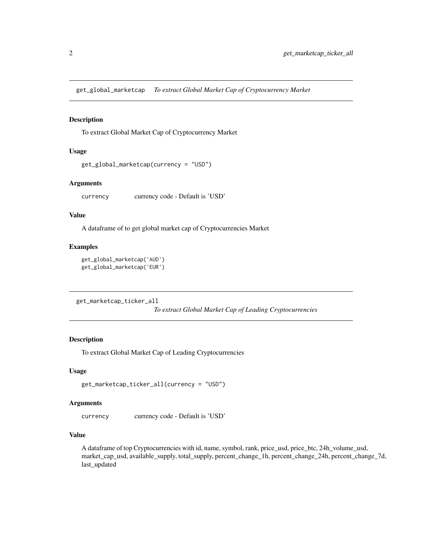<span id="page-1-0"></span>get\_global\_marketcap *To extract Global Market Cap of Cryptocurrency Market*

#### Description

To extract Global Market Cap of Cryptocurrency Market

#### Usage

```
get_global_marketcap(currency = "USD")
```
#### Arguments

currency currency code - Default is 'USD'

#### Value

A dataframe of to get global market cap of Cryptocurrencies Market

#### Examples

```
get_global_marketcap('AUD')
get_global_marketcap('EUR')
```
get\_marketcap\_ticker\_all

*To extract Global Market Cap of Leading Cryptocurrencies*

#### Description

To extract Global Market Cap of Leading Cryptocurrencies

#### Usage

```
get_marketcap_ticker_all(currency = "USD")
```
#### **Arguments**

currency currency code - Default is 'USD'

#### Value

A dataframe of top Cryptocurrencies with id, name, symbol, rank, price\_usd, price\_btc, 24h\_volume\_usd, market\_cap\_usd, available\_supply, total\_supply, percent\_change\_1h, percent\_change\_24h, percent\_change\_7d, last\_updated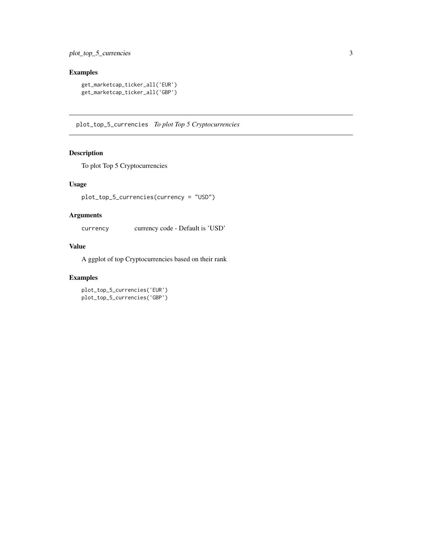#### <span id="page-2-0"></span>Examples

```
get_marketcap_ticker_all('EUR')
get_marketcap_ticker_all('GBP')
```
plot\_top\_5\_currencies *To plot Top 5 Cryptocurrencies*

#### Description

To plot Top 5 Cryptocurrencies

#### Usage

plot\_top\_5\_currencies(currency = "USD")

#### Arguments

currency currency code - Default is 'USD'

#### Value

A ggplot of top Cryptocurrencies based on their rank

#### Examples

plot\_top\_5\_currencies('EUR') plot\_top\_5\_currencies('GBP')